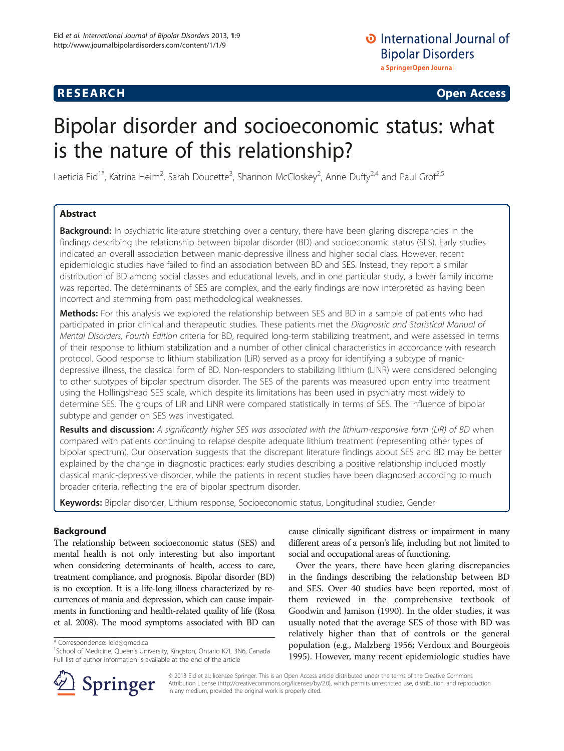## **RESEARCH CHINESE ARCH CHINESE ARCH CHINESE ARCH <b>CHINESE ARCH**

# Bipolar disorder and socioeconomic status: what is the nature of this relationship?

Laeticia Eid<sup>1\*</sup>, Katrina Heim<sup>2</sup>, Sarah Doucette<sup>3</sup>, Shannon McCloskey<sup>2</sup>, Anne Duffy<sup>2,4</sup> and Paul Grof<sup>2,5</sup>

## Abstract

Background: In psychiatric literature stretching over a century, there have been glaring discrepancies in the findings describing the relationship between bipolar disorder (BD) and socioeconomic status (SES). Early studies indicated an overall association between manic-depressive illness and higher social class. However, recent epidemiologic studies have failed to find an association between BD and SES. Instead, they report a similar distribution of BD among social classes and educational levels, and in one particular study, a lower family income was reported. The determinants of SES are complex, and the early findings are now interpreted as having been incorrect and stemming from past methodological weaknesses.

Methods: For this analysis we explored the relationship between SES and BD in a sample of patients who had participated in prior clinical and therapeutic studies. These patients met the Diagnostic and Statistical Manual of Mental Disorders, Fourth Edition criteria for BD, required long-term stabilizing treatment, and were assessed in terms of their response to lithium stabilization and a number of other clinical characteristics in accordance with research protocol. Good response to lithium stabilization (LiR) served as a proxy for identifying a subtype of manicdepressive illness, the classical form of BD. Non-responders to stabilizing lithium (LiNR) were considered belonging to other subtypes of bipolar spectrum disorder. The SES of the parents was measured upon entry into treatment using the Hollingshead SES scale, which despite its limitations has been used in psychiatry most widely to determine SES. The groups of LiR and LiNR were compared statistically in terms of SES. The influence of bipolar subtype and gender on SES was investigated.

Results and discussion: A significantly higher SES was associated with the lithium-responsive form (LiR) of BD when compared with patients continuing to relapse despite adequate lithium treatment (representing other types of bipolar spectrum). Our observation suggests that the discrepant literature findings about SES and BD may be better explained by the change in diagnostic practices: early studies describing a positive relationship included mostly classical manic-depressive disorder, while the patients in recent studies have been diagnosed according to much broader criteria, reflecting the era of bipolar spectrum disorder.

Keywords: Bipolar disorder, Lithium response, Socioeconomic status, Longitudinal studies, Gender

## Background

The relationship between socioeconomic status (SES) and mental health is not only interesting but also important when considering determinants of health, access to care, treatment compliance, and prognosis. Bipolar disorder (BD) is no exception. It is a life-long illness characterized by recurrences of mania and depression, which can cause impairments in functioning and health-related quality of life (Rosa et al. [2008\)](#page-5-0). The mood symptoms associated with BD can

\* Correspondence: [leid@qmed.ca](mailto:leid@qmed.ca) <sup>1</sup>



Over the years, there have been glaring discrepancies in the findings describing the relationship between BD and SES. Over 40 studies have been reported, most of them reviewed in the comprehensive textbook of Goodwin and Jamison ([1990](#page-4-0)). In the older studies, it was usually noted that the average SES of those with BD was relatively higher than that of controls or the general population (e.g., Malzberg [1956;](#page-4-0) Verdoux and Bourgeois [1995](#page-5-0)). However, many recent epidemiologic studies have



© 2013 Eid et al.; licensee Springer. This is an Open Access article distributed under the terms of the Creative Commons Attribution License [\(http://creativecommons.org/licenses/by/2.0\)](http://creativecommons.org/licenses/by/2.0), which permits unrestricted use, distribution, and reproduction in any medium, provided the original work is properly cited.

<sup>&</sup>lt;sup>1</sup> School of Medicine, Queen's University, Kingston, Ontario K7L 3N6, Canada Full list of author information is available at the end of the article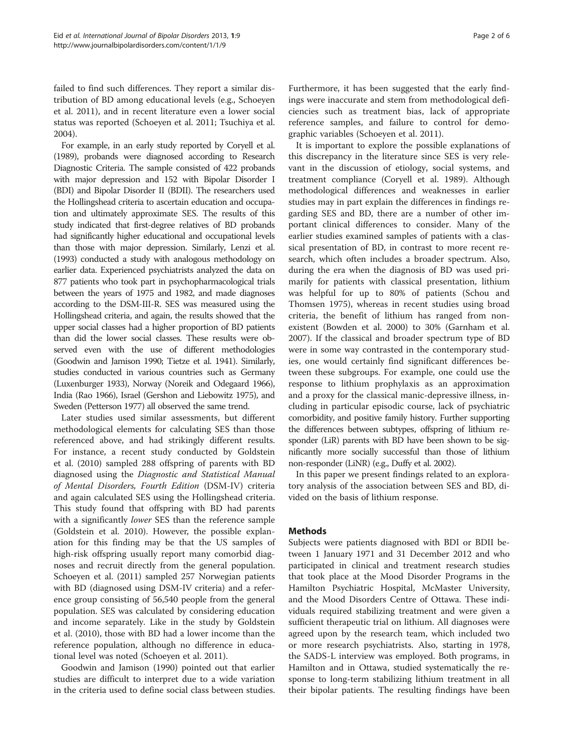failed to find such differences. They report a similar distribution of BD among educational levels (e.g., Schoeyen et al. [2011\)](#page-5-0), and in recent literature even a lower social status was reported (Schoeyen et al. [2011;](#page-5-0) Tsuchiya et al. [2004](#page-5-0)).

For example, in an early study reported by Coryell et al. ([1989](#page-4-0)), probands were diagnosed according to Research Diagnostic Criteria. The sample consisted of 422 probands with major depression and 152 with Bipolar Disorder I (BDI) and Bipolar Disorder II (BDII). The researchers used the Hollingshead criteria to ascertain education and occupation and ultimately approximate SES. The results of this study indicated that first-degree relatives of BD probands had significantly higher educational and occupational levels than those with major depression. Similarly, Lenzi et al. ([1993](#page-4-0)) conducted a study with analogous methodology on earlier data. Experienced psychiatrists analyzed the data on 877 patients who took part in psychopharmacological trials between the years of 1975 and 1982, and made diagnoses according to the DSM-III-R. SES was measured using the Hollingshead criteria, and again, the results showed that the upper social classes had a higher proportion of BD patients than did the lower social classes. These results were observed even with the use of different methodologies (Goodwin and Jamison [1990;](#page-4-0) Tietze et al. [1941\)](#page-5-0). Similarly, studies conducted in various countries such as Germany (Luxenburger [1933\)](#page-4-0), Norway (Noreik and Odegaard [1966](#page-4-0)), India (Rao [1966](#page-5-0)), Israel (Gershon and Liebowitz [1975\)](#page-4-0), and Sweden (Petterson [1977\)](#page-4-0) all observed the same trend.

Later studies used similar assessments, but different methodological elements for calculating SES than those referenced above, and had strikingly different results. For instance, a recent study conducted by Goldstein et al. ([2010](#page-4-0)) sampled 288 offspring of parents with BD diagnosed using the Diagnostic and Statistical Manual of Mental Disorders, Fourth Edition (DSM-IV) criteria and again calculated SES using the Hollingshead criteria. This study found that offspring with BD had parents with a significantly lower SES than the reference sample (Goldstein et al. [2010\)](#page-4-0). However, the possible explanation for this finding may be that the US samples of high-risk offspring usually report many comorbid diagnoses and recruit directly from the general population. Schoeyen et al. ([2011](#page-5-0)) sampled 257 Norwegian patients with BD (diagnosed using DSM-IV criteria) and a reference group consisting of 56,540 people from the general population. SES was calculated by considering education and income separately. Like in the study by Goldstein et al. ([2010](#page-4-0)), those with BD had a lower income than the reference population, although no difference in educational level was noted (Schoeyen et al. [2011](#page-5-0)).

Goodwin and Jamison [\(1990\)](#page-4-0) pointed out that earlier studies are difficult to interpret due to a wide variation in the criteria used to define social class between studies.

Furthermore, it has been suggested that the early findings were inaccurate and stem from methodological deficiencies such as treatment bias, lack of appropriate reference samples, and failure to control for demographic variables (Schoeyen et al. [2011](#page-5-0)).

It is important to explore the possible explanations of this discrepancy in the literature since SES is very relevant in the discussion of etiology, social systems, and treatment compliance (Coryell et al. [1989](#page-4-0)). Although methodological differences and weaknesses in earlier studies may in part explain the differences in findings regarding SES and BD, there are a number of other important clinical differences to consider. Many of the earlier studies examined samples of patients with a classical presentation of BD, in contrast to more recent research, which often includes a broader spectrum. Also, during the era when the diagnosis of BD was used primarily for patients with classical presentation, lithium was helpful for up to 80% of patients (Schou and Thomsen [1975](#page-5-0)), whereas in recent studies using broad criteria, the benefit of lithium has ranged from nonexistent (Bowden et al. [2000\)](#page-4-0) to 30% (Garnham et al. [2007](#page-4-0)). If the classical and broader spectrum type of BD were in some way contrasted in the contemporary studies, one would certainly find significant differences between these subgroups. For example, one could use the response to lithium prophylaxis as an approximation and a proxy for the classical manic-depressive illness, including in particular episodic course, lack of psychiatric comorbidity, and positive family history. Further supporting the differences between subtypes, offspring of lithium responder (LiR) parents with BD have been shown to be significantly more socially successful than those of lithium non-responder (LiNR) (e.g., Duffy et al. [2002\)](#page-4-0).

In this paper we present findings related to an exploratory analysis of the association between SES and BD, divided on the basis of lithium response.

## Methods

Subjects were patients diagnosed with BDI or BDII between 1 January 1971 and 31 December 2012 and who participated in clinical and treatment research studies that took place at the Mood Disorder Programs in the Hamilton Psychiatric Hospital, McMaster University, and the Mood Disorders Centre of Ottawa. These individuals required stabilizing treatment and were given a sufficient therapeutic trial on lithium. All diagnoses were agreed upon by the research team, which included two or more research psychiatrists. Also, starting in 1978, the SADS-L interview was employed. Both programs, in Hamilton and in Ottawa, studied systematically the response to long-term stabilizing lithium treatment in all their bipolar patients. The resulting findings have been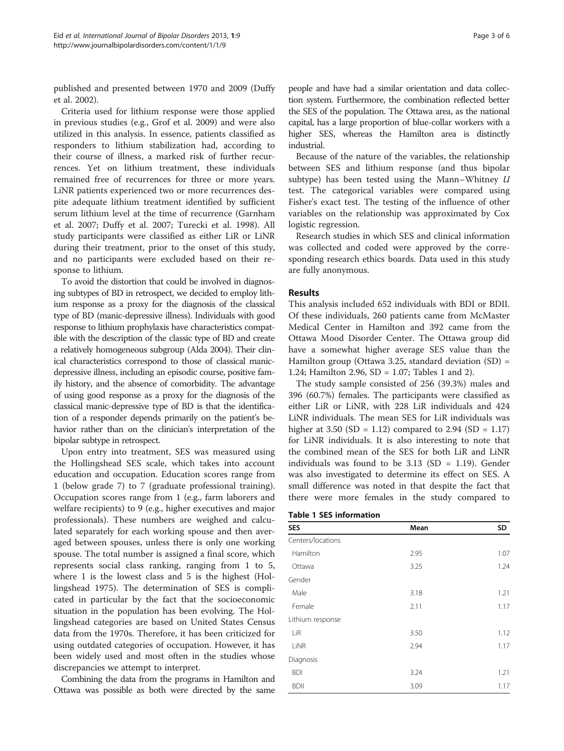published and presented between 1970 and 2009 (Duffy et al. [2002\)](#page-4-0).

Criteria used for lithium response were those applied in previous studies (e.g., Grof et al. [2009](#page-4-0)) and were also utilized in this analysis. In essence, patients classified as responders to lithium stabilization had, according to their course of illness, a marked risk of further recurrences. Yet on lithium treatment, these individuals remained free of recurrences for three or more years. LiNR patients experienced two or more recurrences despite adequate lithium treatment identified by sufficient serum lithium level at the time of recurrence (Garnham et al. [2007;](#page-4-0) Duffy et al. [2007;](#page-4-0) Turecki et al. [1998\)](#page-5-0). All study participants were classified as either LiR or LiNR during their treatment, prior to the onset of this study, and no participants were excluded based on their response to lithium.

To avoid the distortion that could be involved in diagnosing subtypes of BD in retrospect, we decided to employ lithium response as a proxy for the diagnosis of the classical type of BD (manic-depressive illness). Individuals with good response to lithium prophylaxis have characteristics compatible with the description of the classic type of BD and create a relatively homogeneous subgroup (Alda [2004\)](#page-4-0). Their clinical characteristics correspond to those of classical manicdepressive illness, including an episodic course, positive family history, and the absence of comorbidity. The advantage of using good response as a proxy for the diagnosis of the classical manic-depressive type of BD is that the identification of a responder depends primarily on the patient's behavior rather than on the clinician's interpretation of the bipolar subtype in retrospect.

Upon entry into treatment, SES was measured using the Hollingshead SES scale, which takes into account education and occupation. Education scores range from 1 (below grade 7) to 7 (graduate professional training). Occupation scores range from 1 (e.g., farm laborers and welfare recipients) to 9 (e.g., higher executives and major professionals). These numbers are weighed and calculated separately for each working spouse and then averaged between spouses, unless there is only one working spouse. The total number is assigned a final score, which represents social class ranking, ranging from 1 to 5, where 1 is the lowest class and 5 is the highest (Hollingshead [1975\)](#page-4-0). The determination of SES is complicated in particular by the fact that the socioeconomic situation in the population has been evolving. The Hollingshead categories are based on United States Census data from the 1970s. Therefore, it has been criticized for using outdated categories of occupation. However, it has been widely used and most often in the studies whose discrepancies we attempt to interpret.

Combining the data from the programs in Hamilton and Ottawa was possible as both were directed by the same people and have had a similar orientation and data collection system. Furthermore, the combination reflected better the SES of the population. The Ottawa area, as the national capital, has a large proportion of blue-collar workers with a higher SES, whereas the Hamilton area is distinctly industrial.

Because of the nature of the variables, the relationship between SES and lithium response (and thus bipolar subtype) has been tested using the Mann–Whitney  $U$ test. The categorical variables were compared using Fisher's exact test. The testing of the influence of other variables on the relationship was approximated by Cox logistic regression.

Research studies in which SES and clinical information was collected and coded were approved by the corresponding research ethics boards. Data used in this study are fully anonymous.

## Results

This analysis included 652 individuals with BDI or BDII. Of these individuals, 260 patients came from McMaster Medical Center in Hamilton and 392 came from the Ottawa Mood Disorder Center. The Ottawa group did have a somewhat higher average SES value than the Hamilton group (Ottawa 3.25, standard deviation (SD) = 1.24; Hamilton 2.96, SD = 1.07; Tables 1 and [2\)](#page-3-0).

The study sample consisted of 256 (39.3%) males and 396 (60.7%) females. The participants were classified as either LiR or LiNR, with 228 LiR individuals and 424 LiNR individuals. The mean SES for LiR individuals was higher at 3.50 (SD = 1.12) compared to 2.94 (SD = 1.17) for LiNR individuals. It is also interesting to note that the combined mean of the SES for both LiR and LiNR individuals was found to be  $3.13$  (SD = 1.19). Gender was also investigated to determine its effect on SES. A small difference was noted in that despite the fact that there were more females in the study compared to

|  |  |  | Table 1 SES information |
|--|--|--|-------------------------|
|--|--|--|-------------------------|

| <b>SES</b>        | Mean | <b>SD</b> |
|-------------------|------|-----------|
| Centers/locations |      |           |
| Hamilton          | 2.95 | 1.07      |
| Ottawa            | 3.25 | 1.24      |
| Gender            |      |           |
| Male              | 3.18 | 1.21      |
| Female            | 2.11 | 1.17      |
| Lithium response  |      |           |
| LiR               | 3.50 | 1.12      |
| LiNR              | 2.94 | 1.17      |
| Diagnosis         |      |           |
| <b>BDI</b>        | 3.24 | 1.21      |
| <b>BDII</b>       | 3.09 | 1.17      |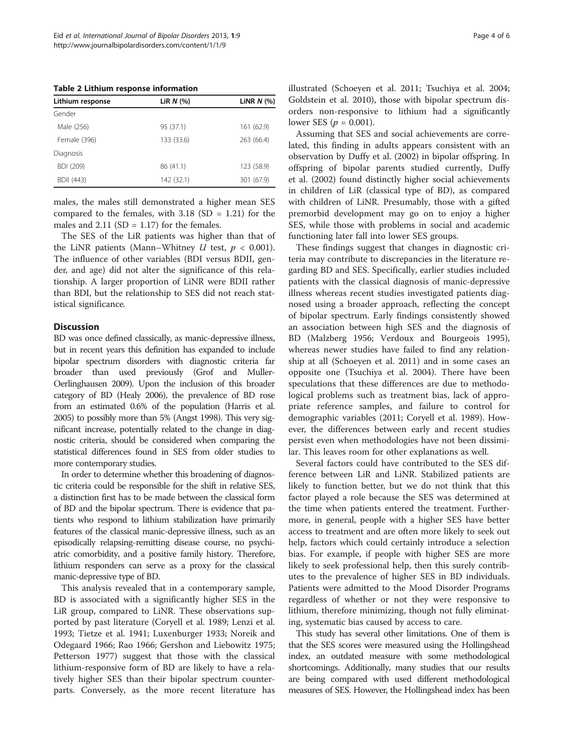<span id="page-3-0"></span>Table 2 Lithium response information

| Lithium response  | LiR $N$ (%) | LINR $N$ (%) |
|-------------------|-------------|--------------|
| Gender            |             |              |
| Male (256)        | 95 (37.1)   | 161 (62.9)   |
| Female (396)      | 133 (33.6)  | 263 (66.4)   |
| Diagnosis         |             |              |
| <b>BDI (209)</b>  | 86 (41.1)   | 123 (58.9)   |
| <b>BDII (443)</b> | 142 (32.1)  | 301 (67.9)   |

males, the males still demonstrated a higher mean SES compared to the females, with 3.18 (SD = 1.21) for the males and  $2.11$  (SD = 1.17) for the females.

The SES of the LiR patients was higher than that of the LiNR patients (Mann–Whitney  $U$  test,  $p < 0.001$ ). The influence of other variables (BDI versus BDII, gender, and age) did not alter the significance of this relationship. A larger proportion of LiNR were BDII rather than BDI, but the relationship to SES did not reach statistical significance.

### **Discussion**

BD was once defined classically, as manic-depressive illness, but in recent years this definition has expanded to include bipolar spectrum disorders with diagnostic criteria far broader than used previously (Grof and Muller-Oerlinghausen [2009\)](#page-4-0). Upon the inclusion of this broader category of BD (Healy [2006](#page-4-0)), the prevalence of BD rose from an estimated 0.6% of the population (Harris et al. [2005](#page-4-0)) to possibly more than 5% (Angst [1998](#page-4-0)). This very significant increase, potentially related to the change in diagnostic criteria, should be considered when comparing the statistical differences found in SES from older studies to more contemporary studies.

In order to determine whether this broadening of diagnostic criteria could be responsible for the shift in relative SES, a distinction first has to be made between the classical form of BD and the bipolar spectrum. There is evidence that patients who respond to lithium stabilization have primarily features of the classical manic-depressive illness, such as an episodically relapsing-remitting disease course, no psychiatric comorbidity, and a positive family history. Therefore, lithium responders can serve as a proxy for the classical manic-depressive type of BD.

This analysis revealed that in a contemporary sample, BD is associated with a significantly higher SES in the LiR group, compared to LiNR. These observations supported by past literature (Coryell et al. [1989](#page-4-0); Lenzi et al. [1993](#page-4-0); Tietze et al. [1941;](#page-5-0) Luxenburger [1933](#page-4-0); Noreik and Odegaard [1966](#page-4-0); Rao [1966;](#page-5-0) Gershon and Liebowitz [1975](#page-4-0); Petterson [1977\)](#page-4-0) suggest that those with the classical lithium-responsive form of BD are likely to have a relatively higher SES than their bipolar spectrum counterparts. Conversely, as the more recent literature has illustrated (Schoeyen et al. [2011;](#page-5-0) Tsuchiya et al. [2004](#page-5-0); Goldstein et al. [2010](#page-4-0)), those with bipolar spectrum disorders non-responsive to lithium had a significantly lower SES ( $p = 0.001$ ).

Assuming that SES and social achievements are correlated, this finding in adults appears consistent with an observation by Duffy et al. ([2002](#page-4-0)) in bipolar offspring. In offspring of bipolar parents studied currently, Duffy et al. [\(2002\)](#page-4-0) found distinctly higher social achievements in children of LiR (classical type of BD), as compared with children of LiNR. Presumably, those with a gifted premorbid development may go on to enjoy a higher SES, while those with problems in social and academic functioning later fall into lower SES groups.

These findings suggest that changes in diagnostic criteria may contribute to discrepancies in the literature regarding BD and SES. Specifically, earlier studies included patients with the classical diagnosis of manic-depressive illness whereas recent studies investigated patients diagnosed using a broader approach, reflecting the concept of bipolar spectrum. Early findings consistently showed an association between high SES and the diagnosis of BD (Malzberg [1956;](#page-4-0) Verdoux and Bourgeois [1995](#page-5-0)), whereas newer studies have failed to find any relationship at all (Schoeyen et al. [2011](#page-5-0)) and in some cases an opposite one (Tsuchiya et al. [2004\)](#page-5-0). There have been speculations that these differences are due to methodological problems such as treatment bias, lack of appropriate reference samples, and failure to control for demographic variables [\(2011;](#page-5-0) Coryell et al. [1989](#page-4-0)). However, the differences between early and recent studies persist even when methodologies have not been dissimilar. This leaves room for other explanations as well.

Several factors could have contributed to the SES difference between LiR and LiNR. Stabilized patients are likely to function better, but we do not think that this factor played a role because the SES was determined at the time when patients entered the treatment. Furthermore, in general, people with a higher SES have better access to treatment and are often more likely to seek out help, factors which could certainly introduce a selection bias. For example, if people with higher SES are more likely to seek professional help, then this surely contributes to the prevalence of higher SES in BD individuals. Patients were admitted to the Mood Disorder Programs regardless of whether or not they were responsive to lithium, therefore minimizing, though not fully eliminating, systematic bias caused by access to care.

This study has several other limitations. One of them is that the SES scores were measured using the Hollingshead index, an outdated measure with some methodological shortcomings. Additionally, many studies that our results are being compared with used different methodological measures of SES. However, the Hollingshead index has been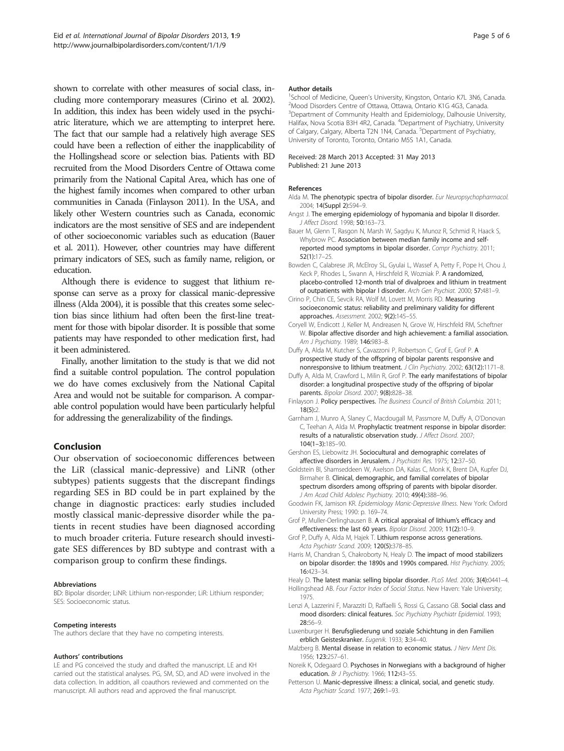<span id="page-4-0"></span>shown to correlate with other measures of social class, including more contemporary measures (Cirino et al. 2002). In addition, this index has been widely used in the psychiatric literature, which we are attempting to interpret here. The fact that our sample had a relatively high average SES could have been a reflection of either the inapplicability of the Hollingshead score or selection bias. Patients with BD recruited from the Mood Disorders Centre of Ottawa come primarily from the National Capital Area, which has one of the highest family incomes when compared to other urban communities in Canada (Finlayson 2011). In the USA, and likely other Western countries such as Canada, economic indicators are the most sensitive of SES and are independent of other socioeconomic variables such as education (Bauer et al. 2011). However, other countries may have different primary indicators of SES, such as family name, religion, or education.

Although there is evidence to suggest that lithium response can serve as a proxy for classical manic-depressive illness (Alda 2004), it is possible that this creates some selection bias since lithium had often been the first-line treatment for those with bipolar disorder. It is possible that some patients may have responded to other medication first, had it been administered.

Finally, another limitation to the study is that we did not find a suitable control population. The control population we do have comes exclusively from the National Capital Area and would not be suitable for comparison. A comparable control population would have been particularly helpful for addressing the generalizability of the findings.

## Conclusion

Our observation of socioeconomic differences between the LiR (classical manic-depressive) and LiNR (other subtypes) patients suggests that the discrepant findings regarding SES in BD could be in part explained by the change in diagnostic practices: early studies included mostly classical manic-depressive disorder while the patients in recent studies have been diagnosed according to much broader criteria. Future research should investigate SES differences by BD subtype and contrast with a comparison group to confirm these findings.

#### Abbreviations

BD: Bipolar disorder; LiNR: Lithium non-responder; LiR: Lithium responder; SES: Socioeconomic status.

#### Competing interests

The authors declare that they have no competing interests.

#### Authors' contributions

LE and PG conceived the study and drafted the manuscript. LE and KH carried out the statistical analyses. PG, SM, SD, and AD were involved in the data collection. In addition, all coauthors reviewed and commented on the manuscript. All authors read and approved the final manuscript.

#### Author details

<sup>1</sup>School of Medicine, Queen's University, Kingston, Ontario K7L 3N6, Canada.<br><sup>2</sup>Mood Disorders Centre of Ottawa, Ottawa, Ontario K1G 4G3, Canada. <sup>2</sup>Mood Disorders Centre of Ottawa, Ottawa, Ontario K1G 4G3, Canada. <sup>3</sup>Department of Community Health and Epidemiology, Dalhousie University, Halifax, Nova Scotia B3H 4R2, Canada. <sup>4</sup>Department of Psychiatry, University of Calgary, Calgary, Alberta T2N 1N4, Canada. <sup>5</sup>Department of Psychiatry, University of Toronto, Toronto, Ontario M5S 1A1, Canada.

#### Received: 28 March 2013 Accepted: 31 May 2013 Published: 21 June 2013

#### References

- Alda M. The phenotypic spectra of bipolar disorder. Eur Neuropsychopharmacol. 2004; 14(Suppl 2):S94–9.
- Angst J. The emerging epidemiology of hypomania and bipolar II disorder. J Affect Disord. 1998; 50:163–73.
- Bauer M, Glenn T, Rasgon N, Marsh W, Sagdyu K, Munoz R, Schmid R, Haack S, Whybrow PC. Association between median family income and selfreported mood symptoms in bipolar disorder. Compr Psychiatry. 2011; 52(1):17–25.
- Bowden C, Calabrese JR, McElroy SL, Gyulai L, Wassef A, Petty F, Pope H, Chou J, Keck P, Rhodes L, Swann A, Hirschfeld R, Wozniak P. A randomized, placebo-controlled 12-month trial of divalproex and lithium in treatment of outpatients with bipolar I disorder. Arch Gen Psychiat. 2000; 57:481–9.
- Cirino P, Chin CE, Sevcik RA, Wolf M, Lovett M, Morris RD. Measuring socioeconomic status: reliability and preliminary validity for different approaches. Assessment. 2002; 9(2):145–55.
- Coryell W, Endicott J, Keller M, Andreasen N, Grove W, Hirschfeld RM, Scheftner W. Bipolar affective disorder and high achievement: a familial association. Am J Psychiatry. 1989; 146:983–8.
- Duffy A, Alda M, Kutcher S, Cavazzoni P, Robertson C, Grof E, Grof P. A prospective study of the offspring of bipolar parents responsive and nonresponsive to lithium treatment. J Clin Psychiatry. 2002; 63(12):1171-8.
- Duffy A, Alda M, Crawford L, Milin R, Grof P. The early manifestations of bipolar disorder: a longitudinal prospective study of the offspring of bipolar parents. Bipolar Disord. 2007; 9(8):828–38.
- Finlayson J. Policy perspectives. The Business Council of British Columbia. 2011; 18(5):2.
- Garnham J, Munro A, Slaney C, Macdougall M, Passmore M, Duffy A, O'Donovan C, Teehan A, Alda M. Prophylactic treatment response in bipolar disorder: results of a naturalistic observation study. J Affect Disord. 2007; 104(1–3):185–90.
- Gershon ES, Liebowitz JH. Sociocultural and demographic correlates of affective disorders in Jerusalem. J Psychiatri Res. 1975; 12:37–50.
- Goldstein BI, Shamseddeen W, Axelson DA, Kalas C, Monk K, Brent DA, Kupfer DJ, Birmaher B. Clinical, demographic, and familial correlates of bipolar spectrum disorders among offspring of parents with bipolar disorder. J Am Acad Child Adolesc Psychiatry. 2010; 49(4):388-96.
- Goodwin FK, Jamison KR. Epidemiology Manic-Depressive Illness. New York: Oxford University Press; 1990: p. 169–74.
- Grof P, Muller-Oerlinghausen B. A critical appraisal of lithium's efficacy and effectiveness: the last 60 years. Bipolar Disord. 2009; 11(2):10–9.
- Grof P, Duffy A, Alda M, Hajek T. Lithium response across generations. Acta Psychiatr Scand. 2009; 120(5):378–85.
- Harris M, Chandran S, Chakroborty N, Healy D. The impact of mood stabilizers on bipolar disorder: the 1890s and 1990s compared. Hist Psychiatry. 2005; 16:423–34.
- Healy D. The latest mania: selling bipolar disorder. PLoS Med. 2006; 3(4):0441-4.
- Hollingshead AB. Four Factor Index of Social Status. New Haven: Yale University; 1975.
- Lenzi A, Lazzerini F, Marazziti D, Raffaelli S, Rossi G, Cassano GB. Social class and mood disorders: clinical features. Soc Psychiatry Psychiatr Epidemiol. 1993; 28:56–9.
- Luxenburger H. Berufsgliederung und soziale Schichtung in den Familien erblich Geisteskranker. Eugenik. 1933; 3:34–40.
- Malzberg B. Mental disease in relation to economic status. J Nerv Ment Dis. 1956; 123:257–61.
- Noreik K, Odegaard O. Psychoses in Norwegians with a background of higher education. Br J Psychiatry. 1966; 112:43–55.
- Petterson U. Manic-depressive illness: a clinical, social, and genetic study. Acta Psychiatr Scand. 1977; 269:1–93.